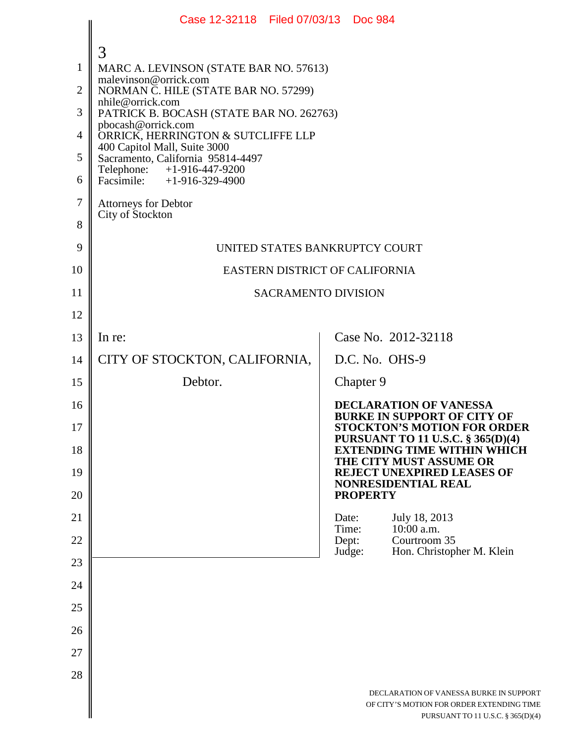|                | Case 12-32118 Filed 07/03/13 Doc 984                              |                                                                                                                           |  |
|----------------|-------------------------------------------------------------------|---------------------------------------------------------------------------------------------------------------------------|--|
|                | 3                                                                 |                                                                                                                           |  |
| 1              | MARC A. LEVINSON (STATE BAR NO. 57613)                            |                                                                                                                           |  |
| $\overline{2}$ | malevinson@orrick.com<br>NORMAN C. HILE (STATE BAR NO. 57299)     |                                                                                                                           |  |
| 3              | nhile@orrick.com<br>PATRICK B. BOCASH (STATE BAR NO. 262763)      |                                                                                                                           |  |
| 4              | pbocash@orrick.com<br>ORRICK, HERRINGTON & SUTCLIFFE LLP          |                                                                                                                           |  |
| 5              | 400 Capitol Mall, Suite 3000<br>Sacramento, California 95814-4497 |                                                                                                                           |  |
| 6              | Telephone: +1-916-447-9200<br>Facsimile: +1-916-329-4900          |                                                                                                                           |  |
| 7              | <b>Attorneys for Debtor</b>                                       |                                                                                                                           |  |
| 8              | City of Stockton                                                  |                                                                                                                           |  |
| 9              | UNITED STATES BANKRUPTCY COURT                                    |                                                                                                                           |  |
| 10             | EASTERN DISTRICT OF CALIFORNIA                                    |                                                                                                                           |  |
| 11             | <b>SACRAMENTO DIVISION</b>                                        |                                                                                                                           |  |
| 12             |                                                                   |                                                                                                                           |  |
| 13             | In re:                                                            | Case No. 2012-32118                                                                                                       |  |
| 14             | CITY OF STOCKTON, CALIFORNIA,                                     | D.C. No. OHS-9                                                                                                            |  |
| 15             | Debtor.                                                           | Chapter 9                                                                                                                 |  |
| 16             |                                                                   | <b>DECLARATION OF VANESSA</b><br><b>BURKE IN SUPPORT OF CITY OF</b>                                                       |  |
| 17             |                                                                   | <b>STOCKTON'S MOTION FOR ORDER</b><br>PURSUANT TO 11 U.S.C. § 365(D)(4)                                                   |  |
| 18             |                                                                   | <b>EXTENDING TIME WITHIN WHICH</b><br>THE CITY MUST ASSUME OR                                                             |  |
| 19             |                                                                   | <b>REJECT UNEXPIRED LEASES OF</b><br><b>NONRESIDENTIAL REAL</b>                                                           |  |
| 20             |                                                                   | <b>PROPERTY</b>                                                                                                           |  |
| 21<br>22       |                                                                   | July 18, 2013<br>Date:<br>$10:00$ a.m.<br>Time:<br>Dept:<br>Courtroom 35                                                  |  |
| 23             |                                                                   | Judge:<br>Hon. Christopher M. Klein                                                                                       |  |
| 24             |                                                                   |                                                                                                                           |  |
| 25             |                                                                   |                                                                                                                           |  |
| 26             |                                                                   |                                                                                                                           |  |
| 27             |                                                                   |                                                                                                                           |  |
| 28             |                                                                   |                                                                                                                           |  |
|                |                                                                   | DECLARATION OF VANESSA BURKE IN SUPPORT<br>OF CITY'S MOTION FOR ORDER EXTENDING TIME<br>PURSUANT TO 11 U.S.C. § 365(D)(4) |  |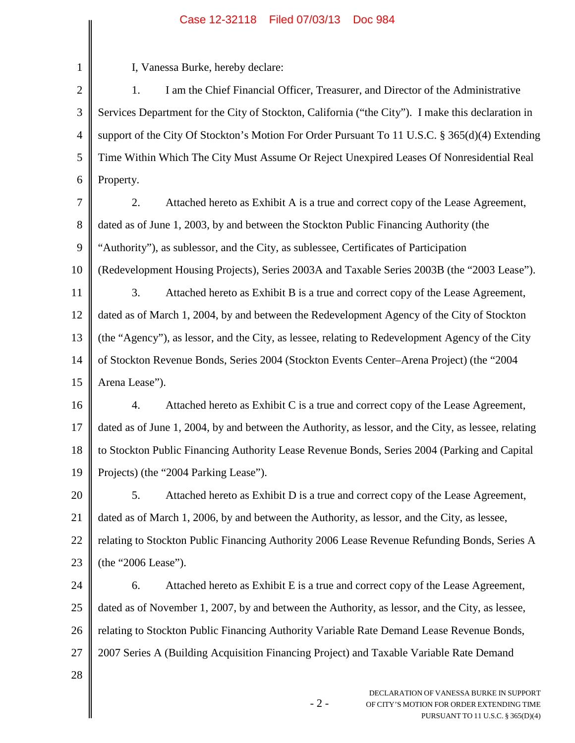## Case 12-32118 Filed 07/03/13 Doc 984

 $\mathbb{I}$ 

| 1              | I, Vanessa Burke, hereby declare:                                                                                                  |  |
|----------------|------------------------------------------------------------------------------------------------------------------------------------|--|
| $\mathbf{2}$   | I am the Chief Financial Officer, Treasurer, and Director of the Administrative<br>1.                                              |  |
| 3              | Services Department for the City of Stockton, California ("the City"). I make this declaration in                                  |  |
| $\overline{4}$ | support of the City Of Stockton's Motion For Order Pursuant To 11 U.S.C. § 365(d)(4) Extending                                     |  |
| 5              | Time Within Which The City Must Assume Or Reject Unexpired Leases Of Nonresidential Real                                           |  |
| 6              | Property.                                                                                                                          |  |
| 7              | 2.<br>Attached hereto as Exhibit A is a true and correct copy of the Lease Agreement,                                              |  |
| 8              | dated as of June 1, 2003, by and between the Stockton Public Financing Authority (the                                              |  |
| 9              | "Authority"), as sublessor, and the City, as sublessee, Certificates of Participation                                              |  |
| 10             | (Redevelopment Housing Projects), Series 2003A and Taxable Series 2003B (the "2003 Lease").                                        |  |
| 11             | Attached hereto as Exhibit B is a true and correct copy of the Lease Agreement,<br>3.                                              |  |
| 12             | dated as of March 1, 2004, by and between the Redevelopment Agency of the City of Stockton                                         |  |
| 13             | (the "Agency"), as lessor, and the City, as lessee, relating to Redevelopment Agency of the City                                   |  |
| 14             | of Stockton Revenue Bonds, Series 2004 (Stockton Events Center–Arena Project) (the "2004                                           |  |
| 15             | Arena Lease").                                                                                                                     |  |
| 16             | Attached hereto as Exhibit C is a true and correct copy of the Lease Agreement,<br>4.                                              |  |
| 17             | dated as of June 1, 2004, by and between the Authority, as lessor, and the City, as lessee, relating                               |  |
| 18             | to Stockton Public Financing Authority Lease Revenue Bonds, Series 2004 (Parking and Capital                                       |  |
| 19             | Projects) (the "2004 Parking Lease").                                                                                              |  |
| 20             | 5.<br>Attached hereto as Exhibit D is a true and correct copy of the Lease Agreement,                                              |  |
| 21             | dated as of March 1, 2006, by and between the Authority, as lessor, and the City, as lessee,                                       |  |
| 22             | relating to Stockton Public Financing Authority 2006 Lease Revenue Refunding Bonds, Series A                                       |  |
| 23             | (the "2006 Lease").                                                                                                                |  |
| 24             | Attached hereto as Exhibit E is a true and correct copy of the Lease Agreement,<br>6.                                              |  |
| 25             | dated as of November 1, 2007, by and between the Authority, as lessor, and the City, as lessee,                                    |  |
| 26             | relating to Stockton Public Financing Authority Variable Rate Demand Lease Revenue Bonds,                                          |  |
| 27             | 2007 Series A (Building Acquisition Financing Project) and Taxable Variable Rate Demand                                            |  |
| 28             |                                                                                                                                    |  |
|                | DECLARATION OF VANESSA BURKE IN SUPPORT<br>$-2-$<br>OF CITY'S MOTION FOR ORDER EXTENDING TIME<br>PURSUANT TO 11 U.S.C. § 365(D)(4) |  |